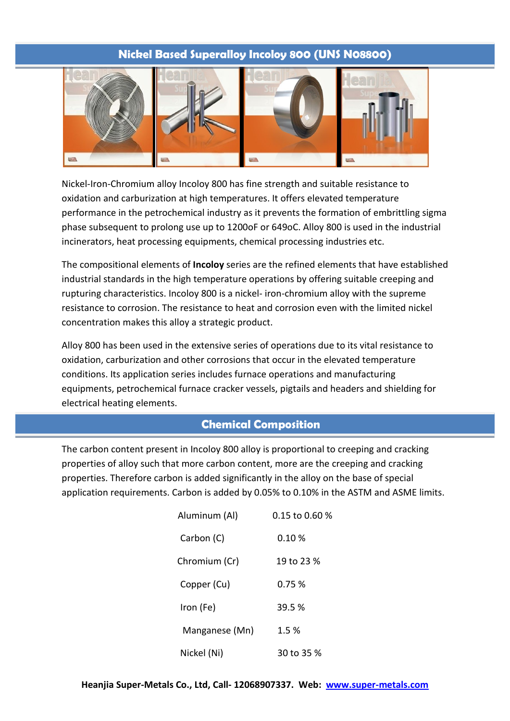## **Nickel Based Superalloy Incoloy 800 (UNS N08800)**



Nickel-Iron-Chromium alloy Incoloy 800 has fine strength and suitable resistance to oxidation and carburization at high temperatures. It offers elevated temperature performance in the petrochemical industry as it prevents the formation of embrittling sigma phase subsequent to prolong use up to 1200oF or 649oC. Alloy 800 is used in the industrial incinerators, heat processing equipments, chemical processing industries etc.

The compositional elements of **Incoloy** series are the refined elements that have established industrial standards in the high temperature operations by offering suitable creeping and rupturing characteristics. Incoloy 800 is a nickel- iron-chromium alloy with the supreme resistance to corrosion. The resistance to heat and corrosion even with the limited nickel concentration makes this alloy a strategic product.

Alloy 800 has been used in the extensive series of operations due to its vital resistance to oxidation, carburization and other corrosions that occur in the elevated temperature conditions. Its application series includes furnace operations and manufacturing equipments, petrochemical furnace cracker vessels, pigtails and headers and shielding for electrical heating elements.

### **Chemical Composition**

The carbon content present in Incoloy 800 alloy is proportional to creeping and cracking properties of alloy such that more carbon content, more are the creeping and cracking properties. Therefore carbon is added significantly in the alloy on the base of special application requirements. Carbon is added by 0.05% to 0.10% in the ASTM and ASME limits.

| Aluminum (Al)  | 0.15 to 0.60 % |
|----------------|----------------|
| Carbon (C)     | 0.10%          |
| Chromium (Cr)  | 19 to 23 %     |
| Copper (Cu)    | 0.75%          |
| Iron (Fe)      | 39.5 %         |
| Manganese (Mn) | 1.5 %          |
| Nickel (Ni)    | 30 to 35 %     |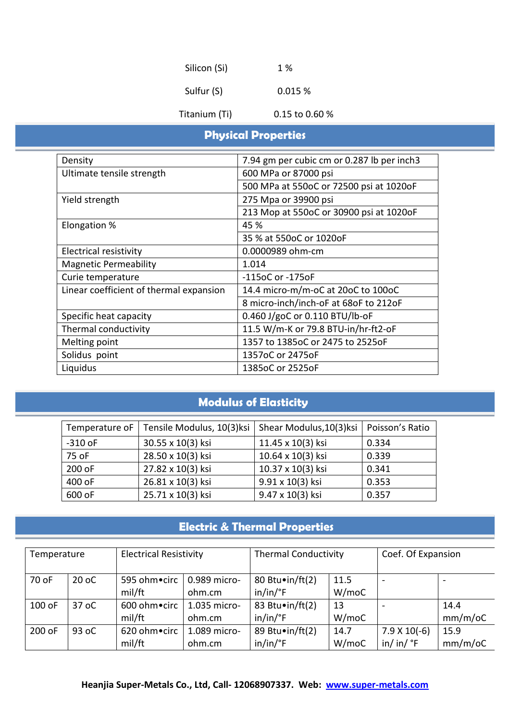| Silicon (Si)<br>Sulfur (S) | 1 %<br>0.015%  |
|----------------------------|----------------|
| Titanium (Ti)              | 0.15 to 0.60 % |

# **Physical Properties**

| Density                                 | 7.94 gm per cubic cm or 0.287 lb per inch3 |
|-----------------------------------------|--------------------------------------------|
| Ultimate tensile strength               | 600 MPa or 87000 psi                       |
|                                         | 500 MPa at 550oC or 72500 psi at 1020oF    |
| Yield strength                          | 275 Mpa or 39900 psi                       |
|                                         | 213 Mop at 550oC or 30900 psi at 1020oF    |
| Elongation %                            | 45 %                                       |
|                                         | 35 % at 550oC or 1020oF                    |
| Electrical resistivity                  | 0.0000989 ohm-cm                           |
| <b>Magnetic Permeability</b>            | 1.014                                      |
| Curie temperature                       | -115oC or -175oF                           |
| Linear coefficient of thermal expansion | 14.4 micro-m/m-oC at 20oC to 100oC         |
|                                         | 8 micro-inch/inch-oF at 68oF to 212oF      |
| Specific heat capacity                  | 0.460 J/goC or 0.110 BTU/lb-oF             |
| Thermal conductivity                    | 11.5 W/m-K or 79.8 BTU-in/hr-ft2-oF        |
| Melting point                           | 1357 to 1385oC or 2475 to 2525oF           |
| Solidus point                           | 1357oC or 2475oF                           |
| Liquidus                                | 1385oC or 2525oF                           |

# **Modulus of Elasticity**

| Temperature oF | Tensile Modulus, 10(3)ksi | Shear Modulus, 10(3)ksi | Poisson's Ratio |
|----------------|---------------------------|-------------------------|-----------------|
| $-310$ oF      | 30.55 x 10(3) ksi         | 11.45 x 10(3) ksi       | 0.334           |
| 75 oF          | 28.50 x 10(3) ksi         | 10.64 x 10(3) ksi       | 0.339           |
| 200 oF         | 27.82 x 10(3) ksi         | 10.37 x 10(3) ksi       | 0.341           |
| 400 oF         | 26.81 x 10(3) ksi         | 9.91 x 10(3) ksi        | 0.353           |
| 600 oF         | 25.71 x 10(3) ksi         | 9.47 x 10(3) ksi        | 0.357           |

# **Electric & Thermal Properties**

| Temperature |         | <b>Electrical Resistivity</b> |                        | <b>Thermal Conductivity</b>                    |               | Coef. Of Expansion                         |                    |
|-------------|---------|-------------------------------|------------------------|------------------------------------------------|---------------|--------------------------------------------|--------------------|
| 70 oF       | $20$ oC | 595 ohm•circ<br>mil/ft        | 0.989 micro-<br>ohm.cm | 80 Btu $\cdot$ in/ft(2)<br>$in/in/{}^{\circ}F$ | 11.5<br>W/moC |                                            |                    |
| 100 oF      | 37 oC   | 600 ohm • circ<br>mil/ft      | 1.035 micro-<br>ohm.cm | 83 Btu $\cdot$ in/ft(2)<br>$in/in/{}^{\circ}F$ | 13<br>W/moC   |                                            | 14.4<br>$mm/m$ /oC |
| 200 oF      | 93 oC   | 620 ohm • circ<br>mil/ft      | 1.089 micro-<br>ohm.cm | 89 Btu $\cdot$ in/ft(2)<br>$in/in/{}^{\circ}F$ | 14.7<br>W/moC | $7.9 \times 10(-6)$<br>in/ in/ $\degree$ F | 15.9<br>$mm/m$ /oC |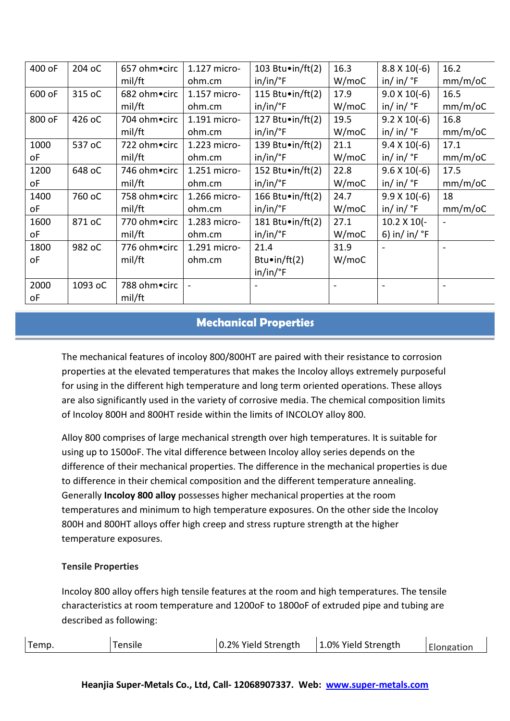| 400 oF | 204 oC  | 657 ohm•circ | 1.127 micro- | 103 Btu $\cdot$ in/ft(2) | 16.3                     | $8.8 \times 10(-6)$    | 16.2           |
|--------|---------|--------------|--------------|--------------------------|--------------------------|------------------------|----------------|
|        |         | mil/ft       | ohm.cm       | $in/in/{}^eF$            | W/moC                    | in/ in/ $\degree$ F    | $mm/m$ /oC     |
| 600 oF | 315 oC  | 682 ohm•circ | 1.157 micro- | 115 Btu $\cdot$ in/ft(2) | 17.9                     | $9.0 X 10(-6)$         | 16.5           |
|        |         | mil/ft       | ohm.cm       | $in/in/{}^{\circ}F$      | W/moC                    | in/ in/ $\degree$ F    | $mm/m$ /oC     |
| 800 oF | 426 oC  | 704 ohm•circ | 1.191 micro- | 127 Btu $\cdot$ in/ft(2) | 19.5                     | $9.2 \times 10(-6)$    | 16.8           |
|        |         | mil/ft       | ohm.cm       | $in/in/{}^{\circ}F$      | W/moC                    | in/ in/ $\degree$ F    | $mm/m$ /oC     |
| 1000   | 537 oC  | 722 ohm•circ | 1.223 micro- | 139 Btu $\cdot$ in/ft(2) | 21.1                     | $9.4 \times 10(-6)$    | 17.1           |
| оF     |         | mil/ft       | ohm.cm       | $in/in/{}^eF$            | W/moC                    | in/ in/ $\degree$ F    | $mm/m$ /oC     |
| 1200   | 648 oC  | 746 ohm•circ | 1.251 micro- | 152 Btu $\cdot$ in/ft(2) | 22.8                     | $9.6 \times 10(-6)$    | 17.5           |
| оF     |         | mil/ft       | ohm.cm       | $in/in/{}^{\circ}F$      | W/moC                    | in/ in/ $\degree$ F    | $mm/m$ /oC     |
| 1400   | 760 oC  | 758 ohm•circ | 1.266 micro- | 166 Btu $\cdot$ in/ft(2) | 24.7                     | $9.9 X 10(-6)$         | 18             |
| оF     |         | mil/ft       | ohm.cm       | $in/in/{}^{\circ}F$      | W/moC                    | in/ in/ $\degree$ F    | $mm/m$ /oC     |
| 1600   | 871 oC  | 770 ohm•circ | 1.283 micro- | 181 Btu•in/ft(2)         | 27.1                     | $10.2 \times 10(-$     | $\blacksquare$ |
| оF     |         | mil/ft       | ohm.cm       | $in/in/{}^{\circ}F$      | W/moC                    | 6) in/ in/ $\degree$ F |                |
| 1800   | 982 oC  | 776 ohm•circ | 1.291 micro- | 21.4                     | 31.9                     |                        |                |
| оF     |         | mil/ft       | ohm.cm       | Btu $\cdot$ in/ft(2)     | W/moC                    |                        |                |
|        |         |              |              | $in/in/{}^{\circ}F$      |                          |                        |                |
| 2000   | 1093 oC | 788 ohm•circ |              |                          | $\overline{\phantom{0}}$ |                        |                |
| οF     |         | mil/ft       |              |                          |                          |                        |                |

# **Mechanical Properties**

The mechanical features of incoloy 800/800HT are paired with their resistance to corrosion properties at the elevated temperatures that makes the Incoloy alloys extremely purposeful for using in the different high temperature and long term oriented operations. These alloys are also significantly used in the variety of corrosive media. The chemical composition limits of Incoloy 800H and 800HT reside within the limits of INCOLOY alloy 800.

Alloy 800 comprises of large mechanical strength over high temperatures. It is suitable for using up to 1500oF. The vital difference between Incoloy alloy series depends on the difference of their mechanical properties. The difference in the mechanical properties is due to difference in their chemical composition and the different temperature annealing. Generally **Incoloy 800 alloy** possesses higher mechanical properties at the room temperatures and minimum to high temperature exposures. On the other side the Incoloy 800H and 800HT alloys offer high creep and stress rupture strength at the higher temperature exposures.

#### **Tensile Properties**

Incoloy 800 alloy offers high tensile features at the room and high temperatures. The tensile characteristics at room temperature and 1200oF to 1800oF of extruded pipe and tubing are described as following:

| Temp. | "ensile | 0.2% Yield Strength | 1.0% Yield Strength | <b>Elongation</b> |
|-------|---------|---------------------|---------------------|-------------------|
|       |         |                     |                     |                   |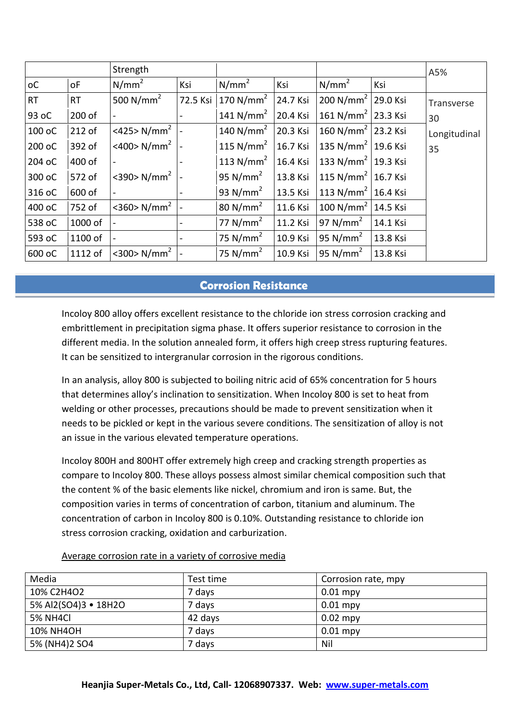|           |           | Strength                   |                              |                                |          |                                |          | A5%          |
|-----------|-----------|----------------------------|------------------------------|--------------------------------|----------|--------------------------------|----------|--------------|
| оC        | οF        | N/mm <sup>2</sup>          | Ksi                          | N/mm <sup>2</sup>              | Ksi      | $N/mm^2$                       | Ksi      |              |
| <b>RT</b> | <b>RT</b> | 500 N/mm <sup>2</sup>      |                              | 72.5 Ksi 170 N/mm <sup>2</sup> | 24.7 Ksi | 200 N/mm <sup>2</sup> 29.0 Ksi |          | Transverse   |
| 93 oC     | 200 of    |                            |                              | 141 N/mm <sup>2</sup>          | 20.4 Ksi | 161 N/mm <sup>2</sup> 23.3 Ksi |          | 30           |
| 100 oC    | 212 of    | <425> N/mm <sup>2</sup>    |                              | 140 N/mm <sup>2</sup>          | 20.3 Ksi | 160 N/mm <sup>2</sup> 23.2 Ksi |          | Longitudinal |
| 200 oC    | 392 of    | <400> $N/mm^2$ -           |                              | 115 N/mm <sup>2</sup>          | 16.7 Ksi | 135 N/mm <sup>2</sup> 19.6 Ksi |          | 35           |
| 204 oC    | 400 of    |                            |                              | 113 $N/mm2$                    | 16.4 Ksi | 133 N/mm <sup>2</sup> 19.3 Ksi |          |              |
| 300 oC    | 572 of    | <390> $N/mm^2$             |                              | 95 $N/mm2$                     | 13.8 Ksi | $115 N/mm2$ 16.7 Ksi           |          |              |
| 316 oC    | 600 of    |                            |                              | 93 $N/mm2$                     | 13.5 Ksi | 113 N/mm <sup>2</sup> 16.4 Ksi |          |              |
| 400 oC    | 752 of    | $<$ 360> N/mm <sup>2</sup> |                              | 80 N/mm <sup>2</sup>           | 11.6 Ksi | 100 N/mm <sup>2</sup> 14.5 Ksi |          |              |
| 538 oC    | 1000 of   |                            |                              | 77 $N/mm2$                     | 11.2 Ksi | 97 N/mm <sup>2</sup>           | 14.1 Ksi |              |
| 593 oC    | 1100 of   |                            | $\qquad \qquad \blacksquare$ | 75 $N/mm2$                     | 10.9 Ksi | 95 N/mm <sup>2</sup>           | 13.8 Ksi |              |
| 600 oC    | 1112 of   | $<$ 300> N/mm <sup>2</sup> |                              | 75 $N/mm2$                     | 10.9 Ksi | 95 N/mm <sup>2</sup>           | 13.8 Ksi |              |

# **Corrosion Resistance**

Incoloy 800 alloy offers excellent resistance to the chloride ion stress corrosion cracking and embrittlement in precipitation sigma phase. It offers superior resistance to corrosion in the different media. In the solution annealed form, it offers high creep stress rupturing features. It can be sensitized to intergranular corrosion in the rigorous conditions.

In an analysis, alloy 800 is subjected to boiling nitric acid of 65% concentration for 5 hours that determines alloy's inclination to sensitization. When Incoloy 800 is set to heat from welding or other processes, precautions should be made to prevent sensitization when it needs to be pickled or kept in the various severe conditions. The sensitization of alloy is not an issue in the various elevated temperature operations.

Incoloy 800H and 800HT offer extremely high creep and cracking strength properties as compare to Incoloy 800. These alloys possess almost similar chemical composition such that the content % of the basic elements like nickel, chromium and iron is same. But, the composition varies in terms of concentration of carbon, titanium and aluminum. The concentration of carbon in Incoloy 800 is 0.10%. Outstanding resistance to chloride ion stress corrosion cracking, oxidation and carburization.

| Media                | Test time | Corrosion rate, mpy |
|----------------------|-----------|---------------------|
| 10% C2H4O2           | 7 days    | $0.01$ mpy          |
| 5% Al2(SO4)3 • 18H2O | 7 days    | $0.01$ mpy          |
| 5% NH4Cl             | 42 days   | $0.02$ mpy          |
| <b>10% NH4OH</b>     | 7 days    | $0.01$ mpy          |
| 5% (NH4)2 SO4        | 7 davs    | Nil                 |

#### Average corrosion rate in a variety of corrosive media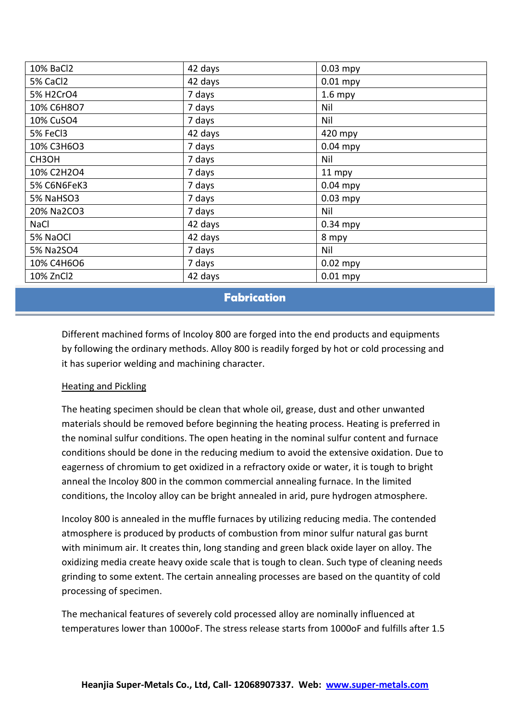| 10% BaCl2   | 42 days | $0.03$ mpy |
|-------------|---------|------------|
| 5% CaCl2    | 42 days | $0.01$ mpy |
| 5% H2CrO4   | 7 days  | $1.6$ mpy  |
| 10% C6H8O7  | 7 days  | Nil        |
| 10% CuSO4   | 7 days  | Nil        |
| 5% FeCl3    | 42 days | 420 mpy    |
| 10% C3H6O3  | 7 days  | $0.04$ mpy |
| CH3OH       | 7 days  | Nil        |
| 10% C2H2O4  | 7 days  | 11 mpy     |
| 5% C6N6FeK3 | 7 days  | $0.04$ mpy |
| 5% NaHSO3   | 7 days  | $0.03$ mpy |
| 20% Na2CO3  | 7 days  | Nil        |
| <b>NaCl</b> | 42 days | $0.34$ mpy |
| 5% NaOCl    | 42 days | 8 mpy      |
| 5% Na2SO4   | 7 days  | Nil        |
| 10% C4H6O6  | 7 days  | $0.02$ mpy |
| 10% ZnCl2   | 42 days | $0.01$ mpy |

## **Fabrication**

Different machined forms of Incoloy 800 are forged into the end products and equipments by following the ordinary methods. Alloy 800 is readily forged by hot or cold processing and it has superior welding and machining character.

### Heating and Pickling

The heating specimen should be clean that whole oil, grease, dust and other unwanted materials should be removed before beginning the heating process. Heating is preferred in the nominal sulfur conditions. The open heating in the nominal sulfur content and furnace conditions should be done in the reducing medium to avoid the extensive oxidation. Due to eagerness of chromium to get oxidized in a refractory oxide or water, it is tough to bright anneal the Incoloy 800 in the common commercial annealing furnace. In the limited conditions, the Incoloy alloy can be bright annealed in arid, pure hydrogen atmosphere.

Incoloy 800 is annealed in the muffle furnaces by utilizing reducing media. The contended atmosphere is produced by products of combustion from minor sulfur natural gas burnt with minimum air. It creates thin, long standing and green black oxide layer on alloy. The oxidizing media create heavy oxide scale that is tough to clean. Such type of cleaning needs grinding to some extent. The certain annealing processes are based on the quantity of cold processing of specimen.

The mechanical features of severely cold processed alloy are nominally influenced at temperatures lower than 1000oF. The stress release starts from 1000oF and fulfills after 1.5